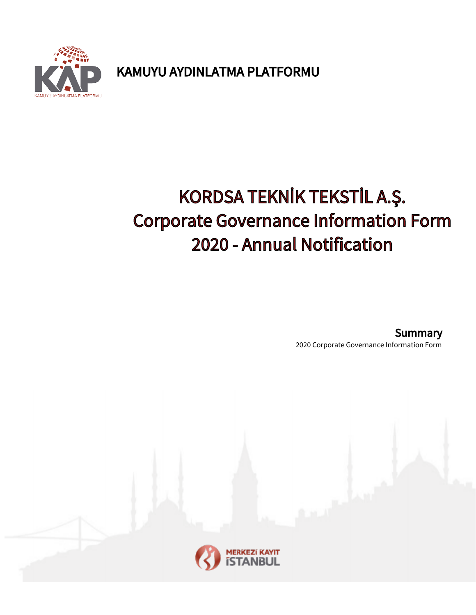

KAMUYU AYDINLATMA PLATFORMU

# KORDSA TEKNİK TEKSTİL A.Ş. Corporate Governance Information Form 2020 - Annual Notification

2020 Corporate Governance Information Form Summary

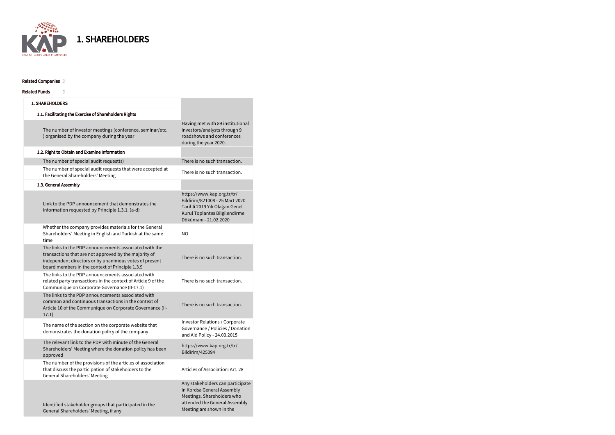| <b>1. SHAREHOLDERS</b>                                                                                                                                                                                                       |                                                                                                                                                           |
|------------------------------------------------------------------------------------------------------------------------------------------------------------------------------------------------------------------------------|-----------------------------------------------------------------------------------------------------------------------------------------------------------|
| 1.1. Facilitating the Exercise of Shareholders Rights                                                                                                                                                                        |                                                                                                                                                           |
| The number of investor meetings (conference, seminar/etc.<br>) organised by the company during the year                                                                                                                      | Having met with 89 institutional<br>investors/analysts through 9<br>roadshows and conferences<br>during the year 2020.                                    |
| 1.2. Right to Obtain and Examine Information                                                                                                                                                                                 |                                                                                                                                                           |
| The number of special audit request(s)                                                                                                                                                                                       | There is no such transaction.                                                                                                                             |
| The number of special audit requests that were accepted at<br>the General Shareholders' Meeting                                                                                                                              | There is no such transaction.                                                                                                                             |
| 1.3. General Assembly                                                                                                                                                                                                        |                                                                                                                                                           |
| Link to the PDP announcement that demonstrates the<br>information requested by Principle 1.3.1. (a-d)                                                                                                                        | https://www.kap.org.tr/tr/<br>Bildirim/821008 - 25 Mart 2020<br>Tarihli 2019 Yılı Olağan Genel<br>Kurul Toplantısı Bilgilendirme<br>Dökümanı - 21.02.2020 |
| Whether the company provides materials for the General<br>Shareholders' Meeting in English and Turkish at the same<br>time                                                                                                   | N <sub>O</sub>                                                                                                                                            |
| The links to the PDP announcements associated with the<br>transactions that are not approved by the majority of<br>independent directors or by unanimous votes of present<br>board members in the context of Principle 1.3.9 | There is no such transaction.                                                                                                                             |
| The links to the PDP announcements associated with<br>related party transactions in the context of Article 9 of the<br>Communique on Corporate Governance (II-17.1)                                                          | There is no such transaction.                                                                                                                             |
| The links to the PDP announcements associated with<br>common and continuous transactions in the context of<br>Article 10 of the Communique on Corporate Governance (II-<br>17.1)                                             | There is no such transaction.                                                                                                                             |
| The name of the section on the corporate website that<br>demonstrates the donation policy of the company                                                                                                                     | <b>Investor Relations / Corporate</b><br>Governance / Policies / Donation<br>and Aid Policy - 24.03.2015                                                  |
| The relevant link to the PDP with minute of the General<br>Shareholders' Meeting where the donation policy has been<br>approved                                                                                              | https://www.kap.org.tr/tr/<br>Bildirim/425094                                                                                                             |
| The number of the provisions of the articles of association<br>that discuss the participation of stakeholders to the<br><b>General Shareholders' Meeting</b>                                                                 | Articles of Association: Art. 28                                                                                                                          |
| Identified stakeholder groups that participated in the<br>General Shareholders' Meeting, if any                                                                                                                              | Any stakeholders can participate<br>in Kordsa General Assembly<br>Meetings. Shareholders who<br>attended the General Assembly<br>Meeting are shown in the |



1. SHAREHOLDERS

### Related Companies []

#### Related Funds []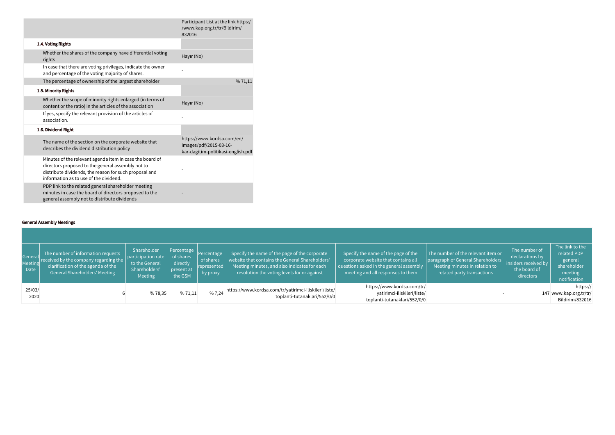|                                                                                                                                                                                                                   | Participant List at the link https:/<br>/www.kap.org.tr/tr/Bildirim/<br>832016             |
|-------------------------------------------------------------------------------------------------------------------------------------------------------------------------------------------------------------------|--------------------------------------------------------------------------------------------|
| 1.4. Voting Rights                                                                                                                                                                                                |                                                                                            |
| Whether the shares of the company have differential voting<br>rights                                                                                                                                              | Hayır (No)                                                                                 |
| In case that there are voting privileges, indicate the owner<br>and percentage of the voting majority of shares.                                                                                                  |                                                                                            |
| The percentage of ownership of the largest shareholder                                                                                                                                                            | %71,11                                                                                     |
| 1.5. Minority Rights                                                                                                                                                                                              |                                                                                            |
| Whether the scope of minority rights enlarged (in terms of<br>content or the ratio) in the articles of the association                                                                                            | Hayır (No)                                                                                 |
| If yes, specify the relevant provision of the articles of<br>association.                                                                                                                                         |                                                                                            |
| 1.6. Dividend Right                                                                                                                                                                                               |                                                                                            |
| The name of the section on the corporate website that<br>describes the dividend distribution policy                                                                                                               | https://www.kordsa.com/en/<br>images/pdf/2015-03-16-<br>kar-dagitim-politikasi-english.pdf |
| Minutes of the relevant agenda item in case the board of<br>directors proposed to the general assembly not to<br>distribute dividends, the reason for such proposal and<br>information as to use of the dividend. |                                                                                            |
| PDP link to the related general shareholder meeting<br>minutes in case the board of directors proposed to the<br>general assembly not to distribute dividends                                                     |                                                                                            |

### General Assembly Meetings

| General<br>Meeting<br>Date | The number of information requests<br>received by the company regarding the<br>clarification of the agenda of the<br>General Shareholders' Meeting | Shareholder<br>$ $ participation rate $ $<br>to the General<br>Shareholders'<br>Meeting | Percentage Percentage<br>of shares<br>directly<br>present at<br>the GSM | of shares<br><i>c</i> epresented<br>by proxy | Specify the name of the page of the corporate<br>website that contains the General Shareholders'<br>Meeting minutes, and also indicates for each<br>resolution the voting levels for or against | Specify the name of the page of the<br>corporate website that contains all<br>questions asked in the general assembly<br>meeting and all responses to them | The number of the relevant item or<br>paragraph of General Shareholders'<br>Meeting minutes in relation to<br>related party transactions | The number of<br>declarations by<br>insiders received by<br>the board of<br>directors | The link to the<br>related PDP<br>general<br>shareholder<br>meeting<br>notification |
|----------------------------|----------------------------------------------------------------------------------------------------------------------------------------------------|-----------------------------------------------------------------------------------------|-------------------------------------------------------------------------|----------------------------------------------|-------------------------------------------------------------------------------------------------------------------------------------------------------------------------------------------------|------------------------------------------------------------------------------------------------------------------------------------------------------------|------------------------------------------------------------------------------------------------------------------------------------------|---------------------------------------------------------------------------------------|-------------------------------------------------------------------------------------|
| 25/03/<br>2020             |                                                                                                                                                    | %78,35                                                                                  | %71,11                                                                  | %7,24                                        | https://www.kordsa.com/tr/yatirimci-iliskileri/liste/<br>toplanti-tutanaklari/552/0/0                                                                                                           | https://www.kordsa.com/tr/<br>yatirimci-iliskileri/liste/<br>toplanti-tutanaklari/552/0/0                                                                  |                                                                                                                                          |                                                                                       | https://<br>147 www.kap.org.tr/tr/<br>Bildirim/832016                               |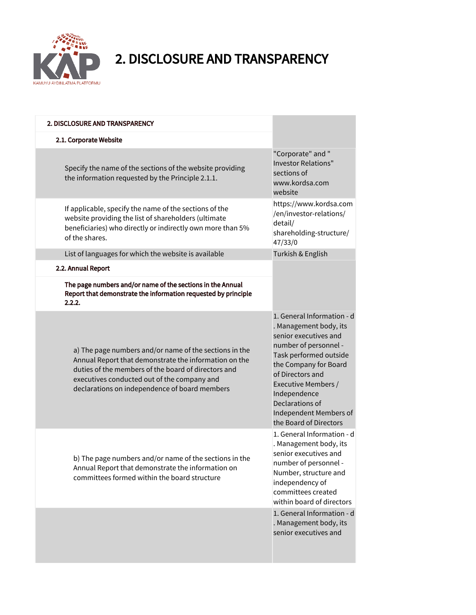

## 2. DISCLOSURE AND TRANSPARENCY

| 2. DISCLOSURE AND TRANSPARENCY                                                                                                                                                                                                                                         |                                                                                                                                                                                                                                                                                             |
|------------------------------------------------------------------------------------------------------------------------------------------------------------------------------------------------------------------------------------------------------------------------|---------------------------------------------------------------------------------------------------------------------------------------------------------------------------------------------------------------------------------------------------------------------------------------------|
| 2.1. Corporate Website                                                                                                                                                                                                                                                 |                                                                                                                                                                                                                                                                                             |
| Specify the name of the sections of the website providing<br>the information requested by the Principle 2.1.1.                                                                                                                                                         | "Corporate" and "<br><b>Investor Relations"</b><br>sections of<br>www.kordsa.com<br>website                                                                                                                                                                                                 |
| If applicable, specify the name of the sections of the<br>website providing the list of shareholders (ultimate<br>beneficiaries) who directly or indirectly own more than 5%<br>of the shares.                                                                         | https://www.kordsa.com<br>/en/investor-relations/<br>detail/<br>shareholding-structure/<br>47/33/0                                                                                                                                                                                          |
| List of languages for which the website is available                                                                                                                                                                                                                   | Turkish & English                                                                                                                                                                                                                                                                           |
| 2.2. Annual Report                                                                                                                                                                                                                                                     |                                                                                                                                                                                                                                                                                             |
| The page numbers and/or name of the sections in the Annual<br>Report that demonstrate the information requested by principle<br>2.2.2.                                                                                                                                 |                                                                                                                                                                                                                                                                                             |
| a) The page numbers and/or name of the sections in the<br>Annual Report that demonstrate the information on the<br>duties of the members of the board of directors and<br>executives conducted out of the company and<br>declarations on independence of board members | 1. General Information - d<br>. Management body, its<br>senior executives and<br>number of personnel -<br>Task performed outside<br>the Company for Board<br>of Directors and<br>Executive Members /<br>Independence<br>Declarations of<br>Independent Members of<br>the Board of Directors |
| b) The page numbers and/or name of the sections in the<br>Annual Report that demonstrate the information on<br>committees formed within the board structure                                                                                                            | 1. General Information - d<br>. Management body, its<br>senior executives and<br>number of personnel -<br>Number, structure and<br>independency of<br>committees created<br>within board of directors                                                                                       |
|                                                                                                                                                                                                                                                                        | 1. General Information - d<br>. Management body, its<br>senior executives and                                                                                                                                                                                                               |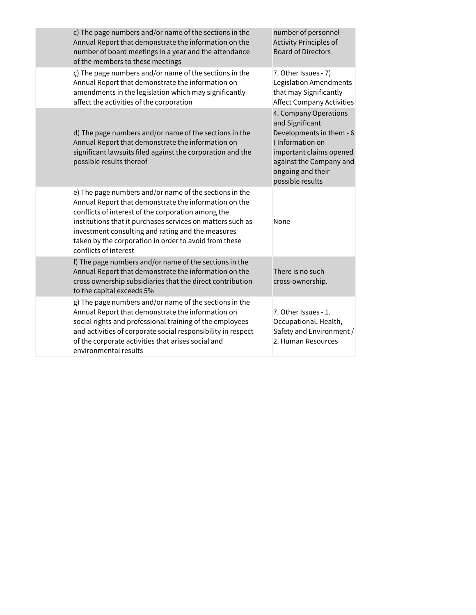| c) The page numbers and/or name of the sections in the<br>Annual Report that demonstrate the information on the<br>number of board meetings in a year and the attendance<br>of the members to these meetings                                                                                                                                                               | number of personnel -<br><b>Activity Principles of</b><br><b>Board of Directors</b>                                                                                                     |
|----------------------------------------------------------------------------------------------------------------------------------------------------------------------------------------------------------------------------------------------------------------------------------------------------------------------------------------------------------------------------|-----------------------------------------------------------------------------------------------------------------------------------------------------------------------------------------|
| ç) The page numbers and/or name of the sections in the<br>Annual Report that demonstrate the information on<br>amendments in the legislation which may significantly<br>affect the activities of the corporation                                                                                                                                                           | 7. Other Issues - 7)<br>Legislation Amendments<br>that may Significantly<br><b>Affect Company Activities</b>                                                                            |
| d) The page numbers and/or name of the sections in the<br>Annual Report that demonstrate the information on<br>significant lawsuits filed against the corporation and the<br>possible results thereof                                                                                                                                                                      | 4. Company Operations<br>and Significant<br>Developments in them - 6<br>) Information on<br>important claims opened<br>against the Company and<br>ongoing and their<br>possible results |
| e) The page numbers and/or name of the sections in the<br>Annual Report that demonstrate the information on the<br>conflicts of interest of the corporation among the<br>institutions that it purchases services on matters such as<br>investment consulting and rating and the measures<br>taken by the corporation in order to avoid from these<br>conflicts of interest | None                                                                                                                                                                                    |
| f) The page numbers and/or name of the sections in the<br>Annual Report that demonstrate the information on the<br>cross ownership subsidiaries that the direct contribution<br>to the capital exceeds 5%                                                                                                                                                                  | There is no such<br>cross-ownership.                                                                                                                                                    |
| g) The page numbers and/or name of the sections in the<br>Annual Report that demonstrate the information on<br>social rights and professional training of the employees<br>and activities of corporate social responsibility in respect<br>of the corporate activities that arises social and<br>environmental results                                                     | 7. Other Issues - 1.<br>Occupational, Health,<br>Safety and Environment /<br>2. Human Resources                                                                                         |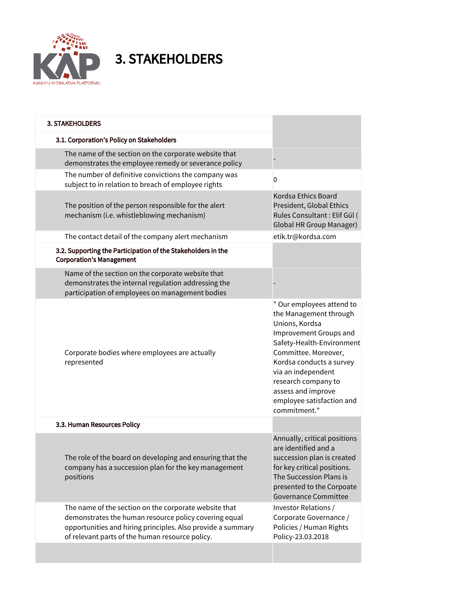

3. STAKEHOLDERS

| <b>3. STAKEHOLDERS</b>                                                                                                                                                                                                           |                                                                                                                                                                                                                                                                                                  |
|----------------------------------------------------------------------------------------------------------------------------------------------------------------------------------------------------------------------------------|--------------------------------------------------------------------------------------------------------------------------------------------------------------------------------------------------------------------------------------------------------------------------------------------------|
| 3.1. Corporation's Policy on Stakeholders                                                                                                                                                                                        |                                                                                                                                                                                                                                                                                                  |
| The name of the section on the corporate website that<br>demonstrates the employee remedy or severance policy                                                                                                                    |                                                                                                                                                                                                                                                                                                  |
| The number of definitive convictions the company was<br>subject to in relation to breach of employee rights                                                                                                                      | 0                                                                                                                                                                                                                                                                                                |
| The position of the person responsible for the alert<br>mechanism (i.e. whistleblowing mechanism)                                                                                                                                | Kordsa Ethics Board<br>President, Global Ethics<br>Rules Consultant : Elif Gül (<br><b>Global HR Group Manager)</b>                                                                                                                                                                              |
| The contact detail of the company alert mechanism                                                                                                                                                                                | etik.tr@kordsa.com                                                                                                                                                                                                                                                                               |
| 3.2. Supporting the Participation of the Stakeholders in the<br><b>Corporation's Management</b>                                                                                                                                  |                                                                                                                                                                                                                                                                                                  |
| Name of the section on the corporate website that<br>demonstrates the internal regulation addressing the<br>participation of employees on management bodies                                                                      |                                                                                                                                                                                                                                                                                                  |
| Corporate bodies where employees are actually<br>represented                                                                                                                                                                     | " Our employees attend to<br>the Management through<br>Unions, Kordsa<br>Improvement Groups and<br>Safety-Health-Environment<br>Committee. Moreover,<br>Kordsa conducts a survey<br>via an independent<br>research company to<br>assess and improve<br>employee satisfaction and<br>commitment." |
| 3.3. Human Resources Policy                                                                                                                                                                                                      |                                                                                                                                                                                                                                                                                                  |
| The role of the board on developing and ensuring that the<br>company has a succession plan for the key management<br>positions                                                                                                   | Annually, critical positions<br>are identified and a<br>succession plan is created<br>for key critical positions.<br>The Succession Plans is<br>presented to the Corpoate<br><b>Governance Committee</b>                                                                                         |
| The name of the section on the corporate website that<br>demonstrates the human resource policy covering equal<br>opportunities and hiring principles. Also provide a summary<br>of relevant parts of the human resource policy. | Investor Relations /<br>Corporate Governance /<br>Policies / Human Rights<br>Policy-23.03.2018                                                                                                                                                                                                   |
|                                                                                                                                                                                                                                  |                                                                                                                                                                                                                                                                                                  |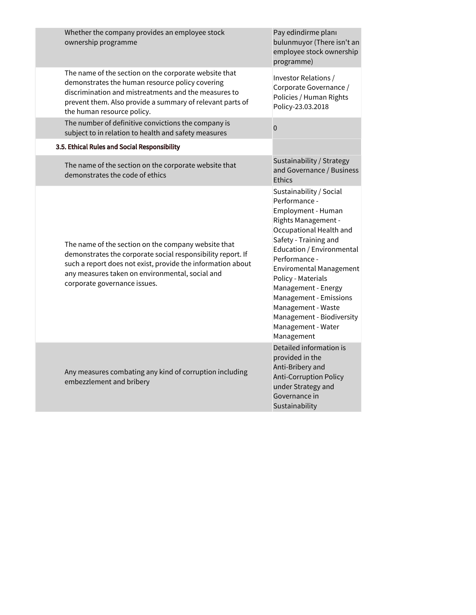| Whether the company provides an employee stock<br>ownership programme                                                                                                                                                                                                | Pay edindirme planı<br>bulunmuyor (There isn't an<br>employee stock ownership<br>programme)                                                                                                                                                                                                                                                                                             |
|----------------------------------------------------------------------------------------------------------------------------------------------------------------------------------------------------------------------------------------------------------------------|-----------------------------------------------------------------------------------------------------------------------------------------------------------------------------------------------------------------------------------------------------------------------------------------------------------------------------------------------------------------------------------------|
| The name of the section on the corporate website that<br>demonstrates the human resource policy covering<br>discrimination and mistreatments and the measures to<br>prevent them. Also provide a summary of relevant parts of<br>the human resource policy.          | Investor Relations /<br>Corporate Governance /<br>Policies / Human Rights<br>Policy-23.03.2018                                                                                                                                                                                                                                                                                          |
| The number of definitive convictions the company is<br>subject to in relation to health and safety measures                                                                                                                                                          | $\mathbf 0$                                                                                                                                                                                                                                                                                                                                                                             |
| 3.5. Ethical Rules and Social Responsibility                                                                                                                                                                                                                         |                                                                                                                                                                                                                                                                                                                                                                                         |
| The name of the section on the corporate website that<br>demonstrates the code of ethics                                                                                                                                                                             | Sustainability / Strategy<br>and Governance / Business<br><b>Ethics</b>                                                                                                                                                                                                                                                                                                                 |
| The name of the section on the company website that<br>demonstrates the corporate social responsibility report. If<br>such a report does not exist, provide the information about<br>any measures taken on environmental, social and<br>corporate governance issues. | Sustainability / Social<br>Performance -<br>Employment - Human<br>Rights Management -<br>Occupational Health and<br>Safety - Training and<br>Education / Environmental<br>Performance -<br><b>Enviromental Management</b><br>Policy - Materials<br>Management - Energy<br>Management - Emissions<br>Management - Waste<br>Management - Biodiversity<br>Management - Water<br>Management |
| Any measures combating any kind of corruption including<br>embezzlement and bribery                                                                                                                                                                                  | Detailed information is<br>provided in the<br>Anti-Bribery and<br>Anti-Corruption Policy<br>under Strategy and<br>Governance in<br>Sustainability                                                                                                                                                                                                                                       |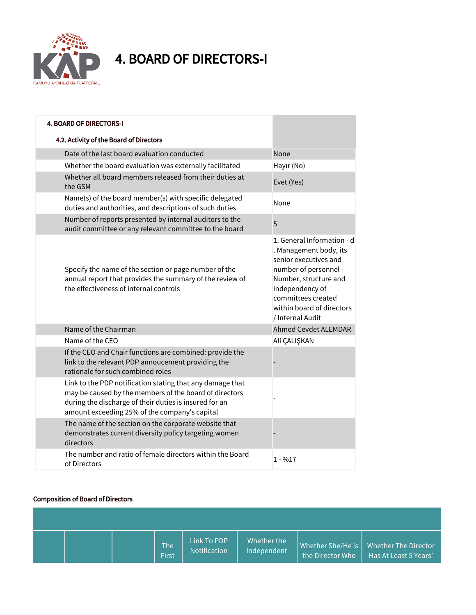

4. BOARD OF DIRECTORS-I

| <b>4. BOARD OF DIRECTORS-I</b>                                                                                                                                                                                                 |                                                                                                                                                                                                                           |
|--------------------------------------------------------------------------------------------------------------------------------------------------------------------------------------------------------------------------------|---------------------------------------------------------------------------------------------------------------------------------------------------------------------------------------------------------------------------|
| 4.2. Activity of the Board of Directors                                                                                                                                                                                        |                                                                                                                                                                                                                           |
| Date of the last board evaluation conducted                                                                                                                                                                                    | None                                                                                                                                                                                                                      |
| Whether the board evaluation was externally facilitated                                                                                                                                                                        | Hayır (No)                                                                                                                                                                                                                |
| Whether all board members released from their duties at<br>the GSM                                                                                                                                                             | Evet (Yes)                                                                                                                                                                                                                |
| Name(s) of the board member(s) with specific delegated<br>duties and authorities, and descriptions of such duties                                                                                                              | None                                                                                                                                                                                                                      |
| Number of reports presented by internal auditors to the<br>audit committee or any relevant committee to the board                                                                                                              | 5                                                                                                                                                                                                                         |
| Specify the name of the section or page number of the<br>annual report that provides the summary of the review of<br>the effectiveness of internal controls                                                                    | 1. General Information - d<br>. Management body, its<br>senior executives and<br>number of personnel -<br>Number, structure and<br>independency of<br>committees created<br>within board of directors<br>/ Internal Audit |
| Name of the Chairman                                                                                                                                                                                                           | <b>Ahmed Cevdet ALEMDAR</b>                                                                                                                                                                                               |
| Name of the CEO                                                                                                                                                                                                                | Ali ÇALIŞKAN                                                                                                                                                                                                              |
| If the CEO and Chair functions are combined: provide the<br>link to the relevant PDP annoucement providing the<br>rationale for such combined roles                                                                            |                                                                                                                                                                                                                           |
| Link to the PDP notification stating that any damage that<br>may be caused by the members of the board of directors<br>during the discharge of their duties is insured for an<br>amount exceeding 25% of the company's capital |                                                                                                                                                                                                                           |
| The name of the section on the corporate website that<br>demonstrates current diversity policy targeting women<br>directors                                                                                                    |                                                                                                                                                                                                                           |
| The number and ratio of female directors within the Board<br>of Directors                                                                                                                                                      | $1 - \%17$                                                                                                                                                                                                                |

### Composition of Board of Directors

|  | The<br>First | Link To PDP<br><b>Notification</b> | Whether the<br>Independent | Whether She/He is<br>the Director Who | Whether The Director<br>Has At Least 5 Years' |
|--|--------------|------------------------------------|----------------------------|---------------------------------------|-----------------------------------------------|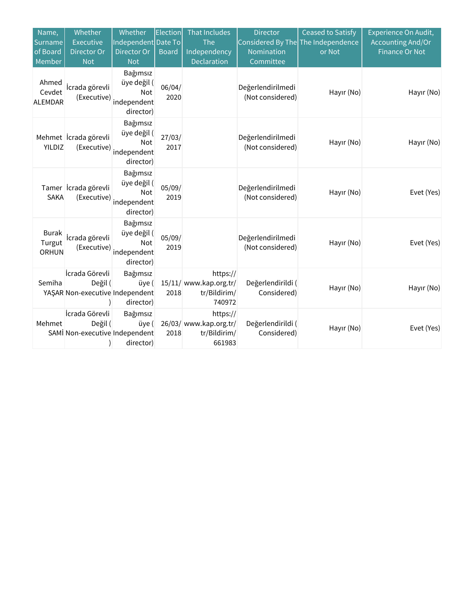| Name,<br>Surname<br>of Board<br>Member | Whether<br>Executive<br>Director Or<br><b>Not</b>            | Whether<br>Independent Date To<br>Director Or<br><b>Not</b> | Election<br><b>Board</b> | <b>That Includes</b><br>The<br><b>Independency</b><br>Declaration | <b>Director</b><br>Considered By The The Independence<br>Nomination<br>Committee | <b>Ceased to Satisfy</b><br>or Not | Experience On Audit,<br><b>Accounting And/Or</b><br><b>Finance Or Not</b> |
|----------------------------------------|--------------------------------------------------------------|-------------------------------------------------------------|--------------------------|-------------------------------------------------------------------|----------------------------------------------------------------------------------|------------------------------------|---------------------------------------------------------------------------|
| Ahmed<br>Cevdet<br><b>ALEMDAR</b>      | İcrada görevli<br>(Executive)                                | Bağımsız<br>üye değil (<br>Not<br>independent<br>director)  | 06/04/<br>2020           |                                                                   | Değerlendirilmedi<br>(Not considered)                                            | Hayır (No)                         | Hayır (No)                                                                |
| YILDIZ                                 | Mehmet <i>icrada</i> görevli<br>(Executive)                  | Bağımsız<br>üye değil (<br>Not<br>independent<br>director)  | 27/03/<br>2017           |                                                                   | Değerlendirilmedi<br>(Not considered)                                            | Hayır (No)                         | Hayır (No)                                                                |
| <b>SAKA</b>                            | Tamer İcrada görevli<br>(Executive)                          | Bağımsız<br>üye değil (<br>Not<br>independent<br>director)  | 05/09/<br>2019           |                                                                   | Değerlendirilmedi<br>(Not considered)                                            | Hayır (No)                         | Evet (Yes)                                                                |
| Burak<br>Turgut<br><b>ORHUN</b>        | İcrada görevli<br>(Executive)                                | Bağımsız<br>üye değil (<br>Not<br>independent<br>director)  | 05/09/<br>2019           |                                                                   | Değerlendirilmedi<br>(Not considered)                                            | Hayır (No)                         | Evet (Yes)                                                                |
| Semiha                                 | İcrada Görevli<br>Değil (<br>YAŞAR Non-executive Independent | Bağımsız<br>üye (<br>director)                              | 2018                     | https://<br>15/11/ www.kap.org.tr/<br>tr/Bildirim/<br>740972      | Değerlendirildi (<br>Considered)                                                 | Hayır (No)                         | Hayır (No)                                                                |
| Mehmet                                 | İcrada Görevli<br>Değil (<br>SAMI Non-executive Independent  | Bağımsız<br>üye (<br>director)                              | 2018                     | https://<br>26/03/ www.kap.org.tr/<br>tr/Bildirim/<br>661983      | Değerlendirildi (<br>Considered)                                                 | Hayır (No)                         | Evet (Yes)                                                                |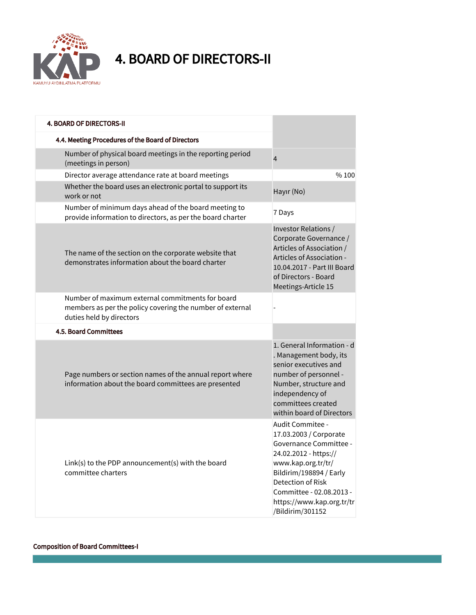

4. BOARD OF DIRECTORS-II

| <b>4. BOARD OF DIRECTORS-II</b>                                                                                                           |                                                                                                                                                                                                                                                  |
|-------------------------------------------------------------------------------------------------------------------------------------------|--------------------------------------------------------------------------------------------------------------------------------------------------------------------------------------------------------------------------------------------------|
| 4.4. Meeting Procedures of the Board of Directors                                                                                         |                                                                                                                                                                                                                                                  |
| Number of physical board meetings in the reporting period<br>(meetings in person)                                                         | $\overline{4}$                                                                                                                                                                                                                                   |
| Director average attendance rate at board meetings                                                                                        | %100                                                                                                                                                                                                                                             |
| Whether the board uses an electronic portal to support its<br>work or not                                                                 | Hayır (No)                                                                                                                                                                                                                                       |
| Number of minimum days ahead of the board meeting to<br>provide information to directors, as per the board charter                        | 7 Days                                                                                                                                                                                                                                           |
| The name of the section on the corporate website that<br>demonstrates information about the board charter                                 | Investor Relations /<br>Corporate Governance /<br>Articles of Association /<br>Articles of Association -<br>10.04.2017 - Part III Board<br>of Directors - Board<br>Meetings-Article 15                                                           |
| Number of maximum external commitments for board<br>members as per the policy covering the number of external<br>duties held by directors |                                                                                                                                                                                                                                                  |
| 4.5. Board Committees                                                                                                                     |                                                                                                                                                                                                                                                  |
| Page numbers or section names of the annual report where<br>information about the board committees are presented                          | 1. General Information - d<br>. Management body, its<br>senior executives and<br>number of personnel -<br>Number, structure and<br>independency of<br>committees created<br>within board of Directors                                            |
| Link(s) to the PDP announcement(s) with the board<br>committee charters                                                                   | Audit Commitee -<br>17.03.2003 / Corporate<br>Governance Committee -<br>24.02.2012 - https://<br>www.kap.org.tr/tr/<br>Bildirim/198894 / Early<br>Detection of Risk<br>Committee - 02.08.2013 -<br>https://www.kap.org.tr/tr<br>/Bildirim/301152 |

### Composition of Board Committees-I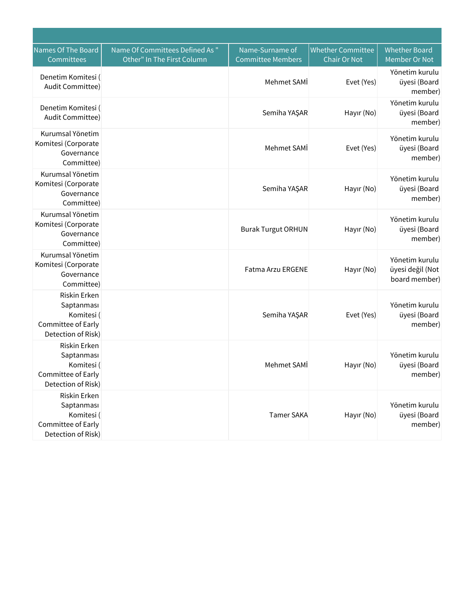| Names Of The Board<br>Committees                                                     | Name Of Committees Defined As "<br>Other" In The First Column | Name-Surname of<br><b>Committee Members</b> | <b>Whether Committee</b><br><b>Chair Or Not</b> | <b>Whether Board</b><br>Member Or Not               |
|--------------------------------------------------------------------------------------|---------------------------------------------------------------|---------------------------------------------|-------------------------------------------------|-----------------------------------------------------|
| Denetim Komitesi (<br>Audit Committee)                                               |                                                               | Mehmet SAMI                                 | Evet (Yes)                                      | Yönetim kurulu<br>üyesi (Board<br>member)           |
| Denetim Komitesi (<br>Audit Committee)                                               |                                                               | Semiha YAŞAR                                | Hayır (No)                                      | Yönetim kurulu<br>üyesi (Board<br>member)           |
| Kurumsal Yönetim<br>Komitesi (Corporate<br>Governance<br>Committee)                  |                                                               | Mehmet SAMI                                 | Evet (Yes)                                      | Yönetim kurulu<br>üyesi (Board<br>member)           |
| Kurumsal Yönetim<br>Komitesi (Corporate<br>Governance<br>Committee)                  |                                                               | Semiha YAŞAR                                | Hayır (No)                                      | Yönetim kurulu<br>üyesi (Board<br>member)           |
| Kurumsal Yönetim<br>Komitesi (Corporate<br>Governance<br>Committee)                  |                                                               | <b>Burak Turgut ORHUN</b>                   | Hayır (No)                                      | Yönetim kurulu<br>üyesi (Board<br>member)           |
| Kurumsal Yönetim<br>Komitesi (Corporate<br>Governance<br>Committee)                  |                                                               | <b>Fatma Arzu ERGENE</b>                    | Hayır (No)                                      | Yönetim kurulu<br>üyesi değil (Not<br>board member) |
| Riskin Erken<br>Saptanması<br>Komitesi (<br>Committee of Early<br>Detection of Risk) |                                                               | Semiha YAŞAR                                | Evet (Yes)                                      | Yönetim kurulu<br>üyesi (Board<br>member)           |
| Riskin Erken<br>Saptanması<br>Komitesi (<br>Committee of Early<br>Detection of Risk) |                                                               | Mehmet SAMİ                                 | Hayır (No)                                      | Yönetim kurulu<br>üyesi (Board<br>member)           |
| Riskin Erken<br>Saptanması<br>Komitesi (<br>Committee of Early<br>Detection of Risk) |                                                               | <b>Tamer SAKA</b>                           | Hayır (No)                                      | Yönetim kurulu<br>üyesi (Board<br>member)           |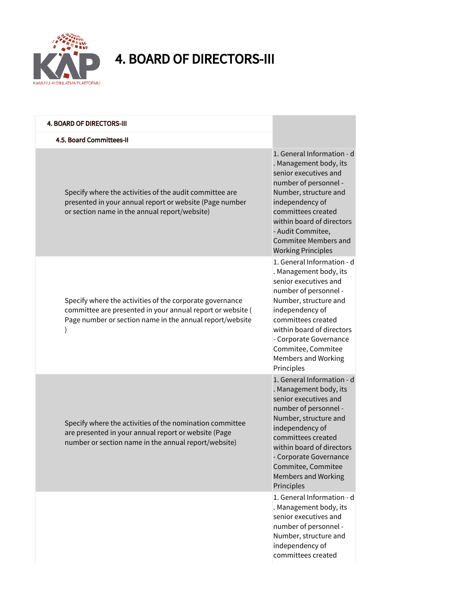

### 4. BOARD OF DIRECTORS-III

| <b>4. BOARD OF DIRECTORS-III</b>                                                                                                                                                   |                                                                                                                                                                                                                                                                                                   |
|------------------------------------------------------------------------------------------------------------------------------------------------------------------------------------|---------------------------------------------------------------------------------------------------------------------------------------------------------------------------------------------------------------------------------------------------------------------------------------------------|
| 4.5. Board Committees-II                                                                                                                                                           |                                                                                                                                                                                                                                                                                                   |
| Specify where the activities of the audit committee are<br>presented in your annual report or website (Page number<br>or section name in the annual report/website)                | 1. General Information - d<br>. Management body, its<br>senior executives and<br>number of personnel -<br>Number, structure and<br>independency of<br>committees created<br>within board of directors<br>- Audit Commitee,<br><b>Commitee Members and</b><br><b>Working Principles</b>            |
| Specify where the activities of the corporate governance<br>committee are presented in your annual report or website (<br>Page number or section name in the annual report/website | 1. General Information - d<br>. Management body, its<br>senior executives and<br>number of personnel -<br>Number, structure and<br>independency of<br>committees created<br>within board of directors<br>- Corporate Governance<br>Commitee, Commitee<br><b>Members and Working</b><br>Principles |
| Specify where the activities of the nomination committee<br>are presented in your annual report or website (Page<br>number or section name in the annual report/website)           | 1. General Information - d<br>. Management body, its<br>senior executives and<br>number of personnel -<br>Number, structure and<br>independency of<br>committees created<br>within board of directors<br>- Corporate Governance<br>Commitee, Commitee<br><b>Members and Working</b><br>Principles |
|                                                                                                                                                                                    | 1. General Information - d<br>. Management body, its<br>senior executives and<br>number of personnel -<br>Number, structure and<br>independency of<br>committees created                                                                                                                          |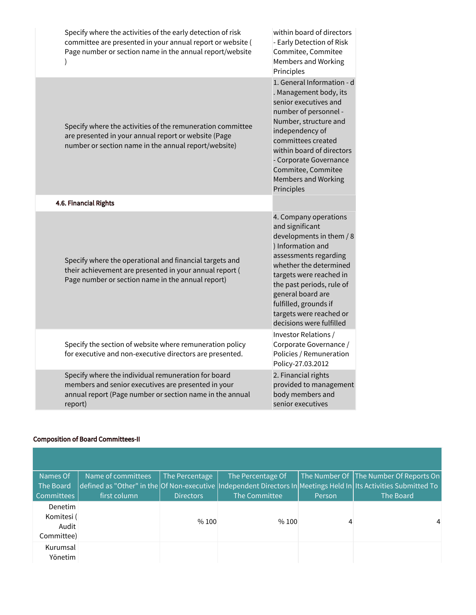| Specify where the activities of the early detection of risk<br>committee are presented in your annual report or website (<br>Page number or section name in the annual report/website | within board of directors<br>- Early Detection of Risk<br>Commitee, Commitee<br><b>Members and Working</b><br>Principles                                                                                                                                                                                  |
|---------------------------------------------------------------------------------------------------------------------------------------------------------------------------------------|-----------------------------------------------------------------------------------------------------------------------------------------------------------------------------------------------------------------------------------------------------------------------------------------------------------|
| Specify where the activities of the remuneration committee<br>are presented in your annual report or website (Page<br>number or section name in the annual report/website)            | 1. General Information - d<br>. Management body, its<br>senior executives and<br>number of personnel -<br>Number, structure and<br>independency of<br>committees created<br>within board of directors<br>- Corporate Governance<br>Commitee, Commitee<br><b>Members and Working</b><br>Principles         |
| 4.6. Financial Rights                                                                                                                                                                 |                                                                                                                                                                                                                                                                                                           |
| Specify where the operational and financial targets and<br>their achievement are presented in your annual report (<br>Page number or section name in the annual report)               | 4. Company operations<br>and significant<br>developments in them / 8<br>) Information and<br>assessments regarding<br>whether the determined<br>targets were reached in<br>the past periods, rule of<br>general board are<br>fulfilled, grounds if<br>targets were reached or<br>decisions were fulfilled |
| Specify the section of website where remuneration policy<br>for executive and non-executive directors are presented.                                                                  | Investor Relations /<br>Corporate Governance /<br>Policies / Remuneration<br>Policy-27.03.2012                                                                                                                                                                                                            |
| Specify where the individual remuneration for board<br>members and senior executives are presented in your<br>annual report (Page number or section name in the annual<br>report)     | 2. Financial rights<br>provided to management<br>body members and<br>senior executives                                                                                                                                                                                                                    |

### Composition of Board Committees-II

| Names Of                                     | Name of committees | The Percentage   | The Percentage Of |         | The Number Of The Number Of Reports On                                                                           |
|----------------------------------------------|--------------------|------------------|-------------------|---------|------------------------------------------------------------------------------------------------------------------|
| The Board                                    |                    |                  |                   |         | defined as "Other" in the Of Non-executive Independent Directors In Meetings Held In Its Activities Submitted To |
| <b>Committees</b>                            | first column       | <b>Directors</b> | The Committee     | Person. | The Board                                                                                                        |
| Denetim<br>Komitesi (<br>Audit<br>Committee) |                    | %100             | %100              | 4       | 4                                                                                                                |
| Kurumsal<br>Yönetim                          |                    |                  |                   |         |                                                                                                                  |